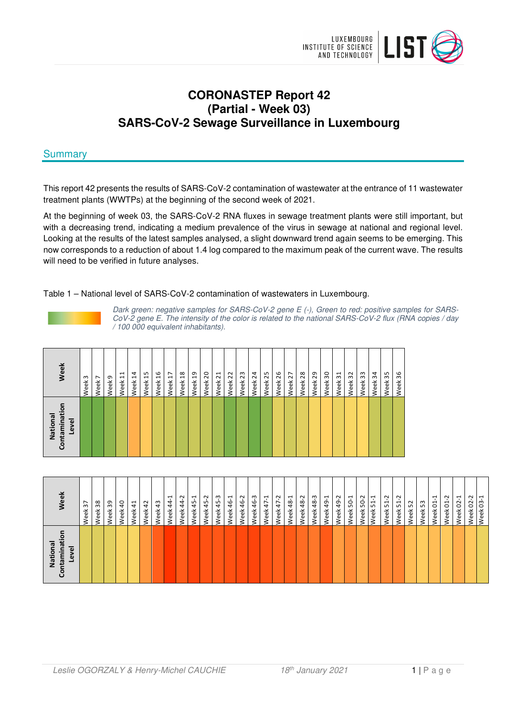

# **CORONASTEP Report 42 (Partial - Week 03) SARS-CoV-2 Sewage Surveillance in Luxembourg**

# **Summary**

This report 42 presents the results of SARS-CoV-2 contamination of wastewater at the entrance of 11 wastewater treatment plants (WWTPs) at the beginning of the second week of 2021.

At the beginning of week 03, the SARS-CoV-2 RNA fluxes in sewage treatment plants were still important, but with a decreasing trend, indicating a medium prevalence of the virus in sewage at national and regional level. Looking at the results of the latest samples analysed, a slight downward trend again seems to be emerging. This now corresponds to a reduction of about 1.4 log compared to the maximum peak of the current wave. The results will need to be verified in future analyses.

## Table 1 – National level of SARS-CoV-2 contamination of wastewaters in Luxembourg.



Dark green: negative samples for SARS-CoV-2 gene E (-), Green to red: positive samples for SARS-CoV-2 gene E. The intensity of the color is related to the national SARS-CoV-2 flux (RNA copies / day / 100 000 equivalent inhabitants).

| Week                             | $\sim$<br>Week | $\overline{ }$<br>Week | G<br>Week | 늭<br>Week | 4<br>Week | 15<br>Week | 9£<br>Week | H<br>Week | $\frac{8}{2}$<br>Week | ဍ<br>Week | 20<br>Week | $\overline{z}$<br>Week | Week 22 | 23<br>Week | $\overline{2}$<br>Week | 25<br>Week | 26<br>Week | $\overline{z}$<br>Week | 28<br>Week | 29<br>Week | 50<br>Week | $\overline{31}$<br>Week | 32<br>Week | 33<br>Week | $\frac{1}{2}$<br>Week | 35<br>Week | న్ల<br>Week |  |
|----------------------------------|----------------|------------------------|-----------|-----------|-----------|------------|------------|-----------|-----------------------|-----------|------------|------------------------|---------|------------|------------------------|------------|------------|------------------------|------------|------------|------------|-------------------------|------------|------------|-----------------------|------------|-------------|--|
| Contaminati<br>National<br>Level |                |                        |           |           |           |            |            |           |                       |           |            |                        |         |            |                        |            |            |                        |            |            |            |                         |            |            |                       |            |             |  |

| Nationa<br>mina<br>g<br>$\omega$<br>ಸ | ¶ee                    |
|---------------------------------------|------------------------|
|                                       | $\overline{5}$<br>Veek |
|                                       | Week 38                |
|                                       | Neek 39                |
|                                       | Veek 40                |
|                                       | Neek 41                |
|                                       | Neek 42                |
|                                       | Neek 43                |
|                                       | Veek 44-               |
|                                       | Veek 44-2              |
|                                       | Veek 45-1              |
|                                       | Veek 45-2              |
|                                       | Veek 45-3              |
|                                       | Veek 46-1              |
|                                       | Veek 46-2              |
|                                       | Veek 46-3              |
|                                       | Veek 47-1              |
|                                       | Veek 47-2              |
|                                       | Veek 48-1              |
|                                       | Veek 48-2              |
|                                       | Veek 48-3              |
|                                       | Veek 49-1              |
|                                       | Veek 49-2              |
|                                       | Veek 50-1              |
|                                       | Neek 50-2              |
|                                       | Veek 51-1              |
|                                       | Veek 51-2              |
|                                       | $\sim$<br>Veek 51-     |
|                                       | Neek 52                |
|                                       | Neek 53                |
|                                       | ⊣<br>Veek 01-          |
|                                       | Veek 01-2              |
|                                       | Veek 02-1              |
|                                       | $02 - 2$<br>eek        |
|                                       | Week 03-1              |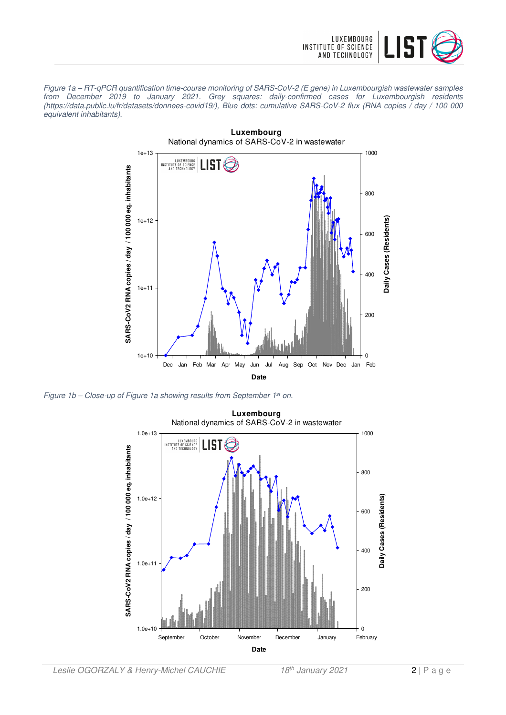

Figure 1a – RT-qPCR quantification time-course monitoring of SARS-CoV-2 (E gene) in Luxembourgish wastewater samples from December 2019 to January 2021. Grey squares: daily-confirmed cases for Luxembourgish residents (https://data.public.lu/fr/datasets/donnees-covid19/), Blue dots: cumulative SARS-CoV-2 flux (RNA copies / day / 100 000 equivalent inhabitants).



Figure 1b – Close-up of Figure 1a showing results from September 1<sup>st</sup> on.

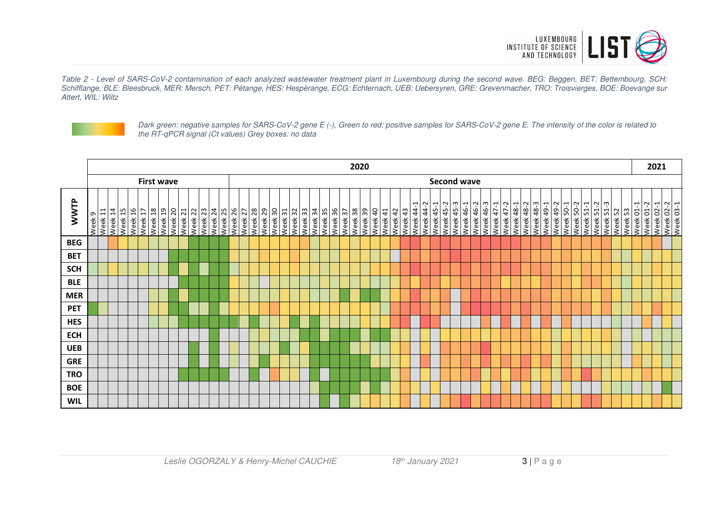

Table 2 - Level of SARS-CoV-2 contamination of each analyzed wastewater treatment plant in Luxembourg during the second wave. BEG: Beggen, BET: Bettembourg, SCH: Schifflange, BLE: Bleesbruck, MER: Mersch, PET: Pétange, HES: Hespèrange, ECG: Echternach, UEB: Uebersyren, GRE: Grevenmacher, TRO: Troisvierges, BOE: Boevange sur Attert, WIL: Wiltz



Dark green: negative samples for SARS-CoV-2 gene E (-), Green to red: positive samples for SARS-CoV-2 gene E. The intensity of the color is related to the RT-qPCR signal (Ct values) Grey boxes: no data

|             |        | 2020    |                    |  |         |                                                        |                   |                    |         |         |         |         |         |                    |  | 2021    |         |         |                    |                    |         |         |         |         |         |        |         |         |         |            |                            |           |           |                    |                  |           |           |                        |                    |                             |                                 |           |                        |           |                    |               |                                      |                    |                        |  |           |                        |
|-------------|--------|---------|--------------------|--|---------|--------------------------------------------------------|-------------------|--------------------|---------|---------|---------|---------|---------|--------------------|--|---------|---------|---------|--------------------|--------------------|---------|---------|---------|---------|---------|--------|---------|---------|---------|------------|----------------------------|-----------|-----------|--------------------|------------------|-----------|-----------|------------------------|--------------------|-----------------------------|---------------------------------|-----------|------------------------|-----------|--------------------|---------------|--------------------------------------|--------------------|------------------------|--|-----------|------------------------|
|             |        |         |                    |  |         |                                                        | <b>First wave</b> |                    |         |         |         |         |         |                    |  |         |         |         |                    |                    |         |         |         |         |         |        |         |         |         |            |                            |           |           | <b>Second wave</b> |                  |           |           |                        |                    |                             |                                 |           |                        |           |                    |               |                                      |                    |                        |  |           |                        |
| <b>WWTP</b> | Week 9 | Week 11 | Week 14<br>Week 15 |  | Week 16 | 8T Yee<br>$\overline{ }$<br>$\mathbf{\bar{t}}$<br>Week |                   | 0Z YƏƏM<br>6T YƏƏM | Week 21 | Week 22 | Week 23 | Week 24 | SZ YeeM | ZZ NəəM<br>97 YəəM |  | Week 28 | Week 29 | Week 30 | Week 31<br>Week 32 | Week <sub>33</sub> | Week 34 | Week 35 | Week 36 | Week 37 | 8E Yaam | 68 Nee | Week 40 | Week 41 | Week 42 | 43<br>Week | $\overline{ }$<br>Week 44- | Week 44-2 | Week 45-1 | $\sim$<br>Week 45- | <b>Week 45-3</b> | Week 46-1 | Week 46-2 | Week 46-3<br>Week 47-1 | $\sim$<br>Week 47- | $\overline{ }$<br>Week 48-1 | $\sim$<br>$\frac{8}{4}$<br>Week | Week 48-3 | Week 49-1<br>Week 49-2 | Week 50-1 | $\sim$<br>Week 50- | 1<br>Week 51- | $\sim$<br>ന<br>Week 51-<br>Week 51-2 | ES APPM<br>Week 52 | Week 01-1<br>Week 01-2 |  | Week 02-1 | Week 02-2<br>Week 03-1 |
| <b>BEG</b>  |        |         |                    |  |         |                                                        |                   |                    |         |         |         |         |         |                    |  |         |         |         |                    |                    |         |         |         |         |         |        |         |         |         |            |                            |           |           |                    |                  |           |           |                        |                    |                             |                                 |           |                        |           |                    |               |                                      |                    |                        |  |           |                        |
| <b>BET</b>  |        |         |                    |  |         |                                                        |                   |                    |         |         |         |         |         |                    |  |         |         |         |                    |                    |         |         |         |         |         |        |         |         |         |            |                            |           |           |                    |                  |           |           |                        |                    |                             |                                 |           |                        |           |                    |               |                                      |                    |                        |  |           |                        |
| <b>SCH</b>  |        |         |                    |  |         |                                                        |                   |                    |         |         |         |         |         |                    |  |         |         |         |                    |                    |         |         |         |         |         |        |         |         |         |            |                            |           |           |                    |                  |           |           |                        |                    |                             |                                 |           |                        |           |                    |               |                                      |                    |                        |  |           |                        |
| <b>BLE</b>  |        |         |                    |  |         |                                                        |                   |                    |         |         |         |         |         |                    |  |         |         |         |                    |                    |         |         |         |         |         |        |         |         |         |            |                            |           |           |                    |                  |           |           |                        |                    |                             |                                 |           |                        |           |                    |               |                                      |                    |                        |  |           |                        |
| <b>MER</b>  |        |         |                    |  |         |                                                        |                   |                    |         |         |         |         |         |                    |  |         |         |         |                    |                    |         |         |         |         |         |        |         |         |         |            |                            |           |           |                    |                  |           |           |                        |                    |                             |                                 |           |                        |           |                    |               |                                      |                    |                        |  |           |                        |
| <b>PET</b>  |        |         |                    |  |         |                                                        |                   |                    |         |         |         |         |         |                    |  |         |         |         |                    |                    |         |         |         |         |         |        |         |         |         |            |                            |           |           |                    |                  |           |           |                        |                    |                             |                                 |           |                        |           |                    |               |                                      |                    |                        |  |           |                        |
| <b>HES</b>  |        |         |                    |  |         |                                                        |                   |                    |         |         |         |         |         |                    |  |         |         |         |                    |                    |         |         |         |         |         |        |         |         |         |            |                            |           |           |                    |                  |           |           |                        |                    |                             |                                 |           |                        |           |                    |               |                                      |                    |                        |  |           |                        |
| <b>ECH</b>  |        |         |                    |  |         |                                                        |                   |                    |         |         |         |         |         |                    |  |         |         |         |                    |                    |         |         |         |         |         |        |         |         |         |            |                            |           |           |                    |                  |           |           |                        |                    |                             |                                 |           |                        |           |                    |               |                                      |                    |                        |  |           |                        |
| <b>UEB</b>  |        |         |                    |  |         |                                                        |                   |                    |         |         |         |         |         |                    |  |         |         |         |                    |                    |         |         |         |         |         |        |         |         |         |            |                            |           |           |                    |                  |           |           |                        |                    |                             |                                 |           |                        |           |                    |               |                                      |                    |                        |  |           |                        |
| <b>GRE</b>  |        |         |                    |  |         |                                                        |                   |                    |         |         |         |         |         |                    |  |         |         |         |                    |                    |         |         |         |         |         |        |         |         |         |            |                            |           |           |                    |                  |           |           |                        |                    |                             |                                 |           |                        |           |                    |               |                                      |                    |                        |  |           |                        |
| <b>TRO</b>  |        |         |                    |  |         |                                                        |                   |                    |         |         |         |         |         |                    |  |         |         |         |                    |                    |         |         |         |         |         |        |         |         |         |            |                            |           |           |                    |                  |           |           |                        |                    |                             |                                 |           |                        |           |                    |               |                                      |                    |                        |  |           |                        |
| <b>BOE</b>  |        |         |                    |  |         |                                                        |                   |                    |         |         |         |         |         |                    |  |         |         |         |                    |                    |         |         |         |         |         |        |         |         |         |            |                            |           |           |                    |                  |           |           |                        |                    |                             |                                 |           |                        |           |                    |               |                                      |                    |                        |  |           |                        |
| <b>WIL</b>  |        |         |                    |  |         |                                                        |                   |                    |         |         |         |         |         |                    |  |         |         |         |                    |                    |         |         |         |         |         |        |         |         |         |            |                            |           |           |                    |                  |           |           |                        |                    |                             |                                 |           |                        |           |                    |               |                                      |                    |                        |  |           |                        |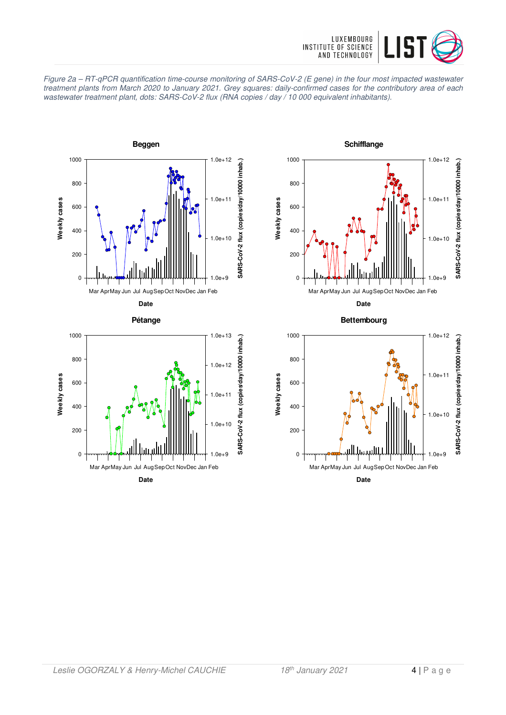







**Schifflange** 1000 1.0e+12 SARS-CoV-2 flux (copies/day/10000 inhab.) **SARS-CoV-2 flux (copies/day/10000 inhab.)** 800 1.0e+11 Weekly cases **Weekly cases** 600 400 1.0e+10 200  $\Omega$  $0 + 9$ Mar AprMay Jun Jul Aug Sep Oct Nov Dec Jan Feb **Date**

**Bettembourg**

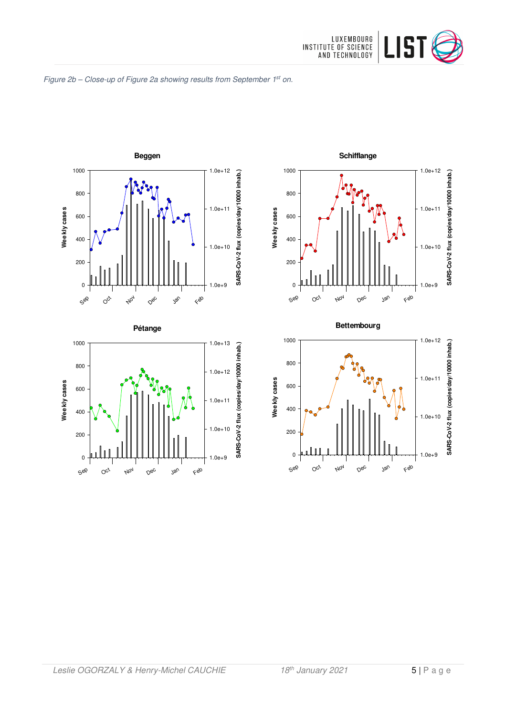

#### Figure 2b - Close-up of Figure 2a showing results from September 1st on.





1.0e+13

1000







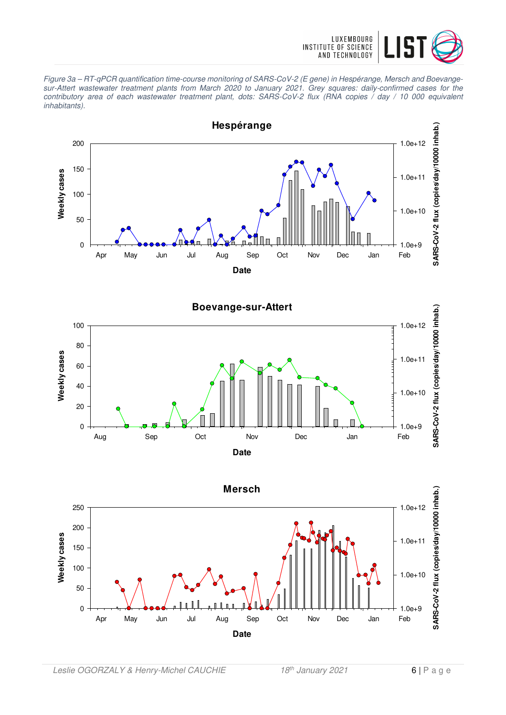

Figure 3a – RT-qPCR quantification time-course monitoring of SARS-CoV-2 (E gene) in Hespérange, Mersch and Boevangesur-Attert wastewater treatment plants from March 2020 to January 2021. Grey squares: daily-confirmed cases for the contributory area of each wastewater treatment plant, dots: SARS-CoV-2 flux (RNA copies / day / 10 000 equivalent inhabitants).





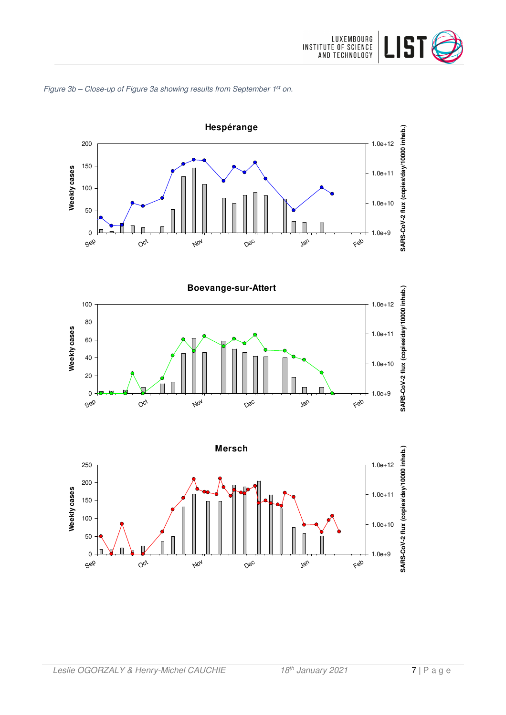

# Figure 3b – Close-up of Figure 3a showing results from September 1<sup>st</sup> on.





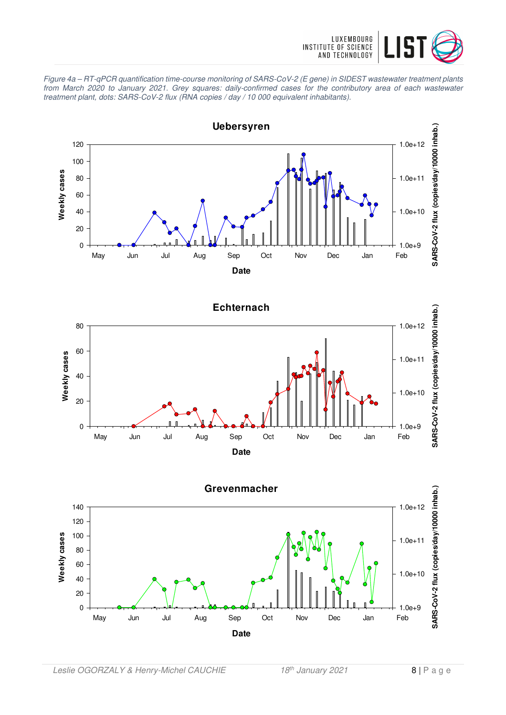

Figure 4a – RT-qPCR quantification time-course monitoring of SARS-CoV-2 (E gene) in SIDEST wastewater treatment plants from March 2020 to January 2021. Grey squares: daily-confirmed cases for the contributory area of each wastewater treatment plant, dots: SARS-CoV-2 flux (RNA copies / day / 10 000 equivalent inhabitants).





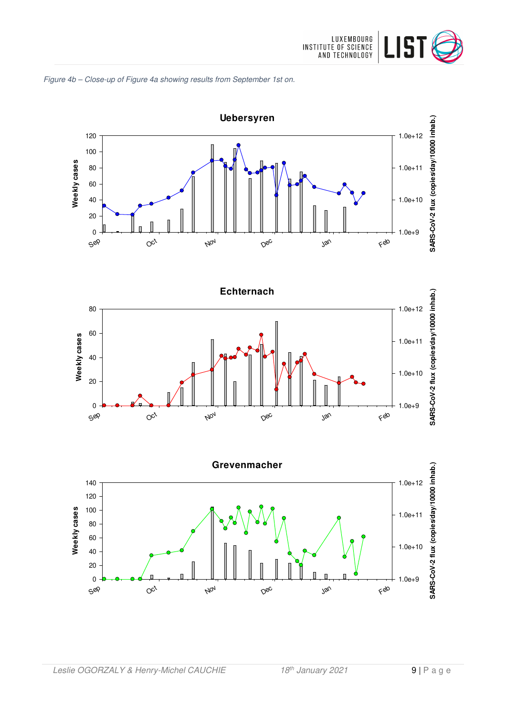







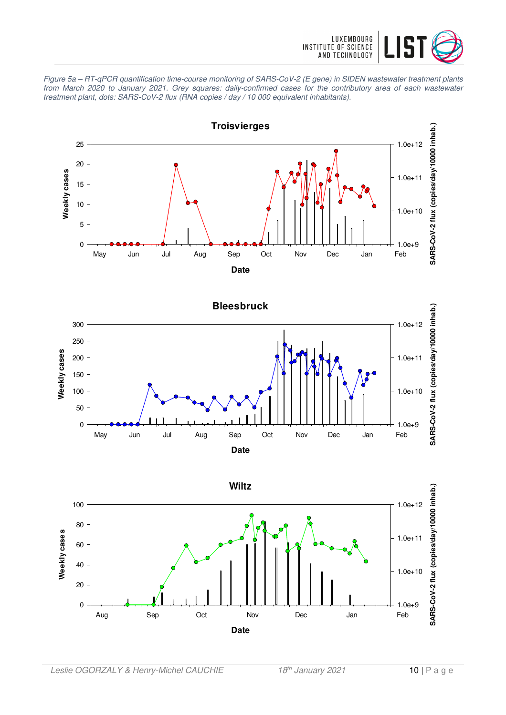

Figure 5a – RT-qPCR quantification time-course monitoring of SARS-CoV-2 (E gene) in SIDEN wastewater treatment plants from March 2020 to January 2021. Grey squares: daily-confirmed cases for the contributory area of each wastewater treatment plant, dots: SARS-CoV-2 flux (RNA copies / day / 10 000 equivalent inhabitants).





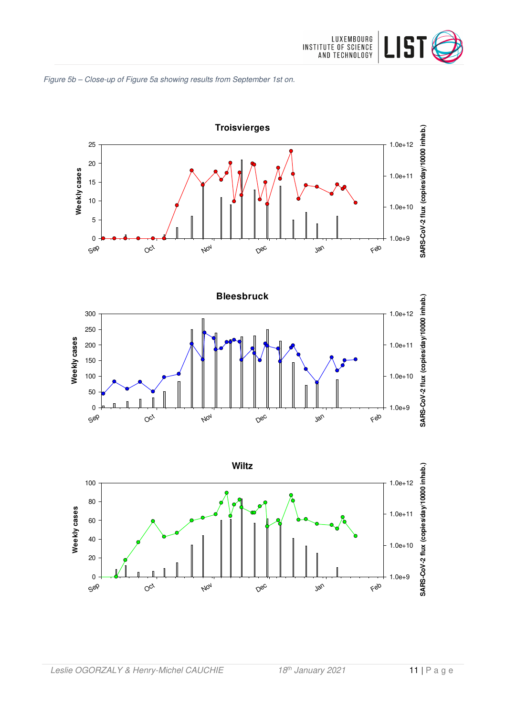







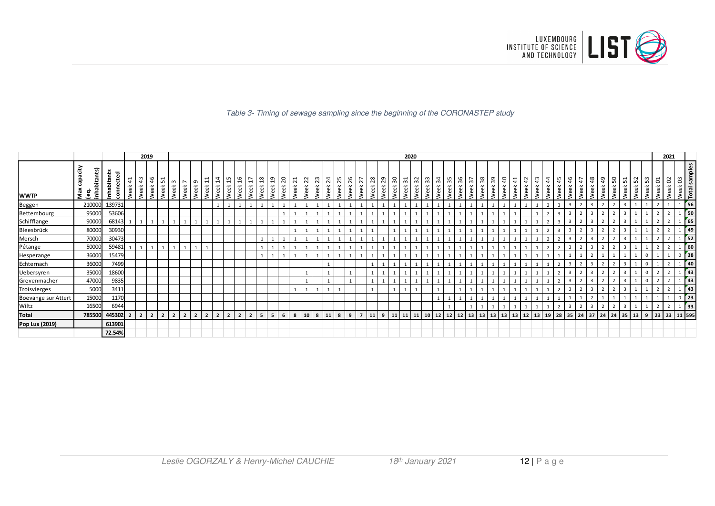

#### Table 3- Timing of sewage sampling since the beginning of the CORONASTEP study

|                     |                                     |                                   |            | 2019                   |                |                              |                  |                |                |                        |                                    |                      |                              |                                      |                        |           |                        |                               |            |                         |            |            |                          |            |            |         | 2020                    |                     |                          |                    |      |                    |                                                |    |                                      |                       |            |                       |            |            |            |                    |            |                              |            |          |                        |                   |                        | 2021    |                                        |                             |
|---------------------|-------------------------------------|-----------------------------------|------------|------------------------|----------------|------------------------------|------------------|----------------|----------------|------------------------|------------------------------------|----------------------|------------------------------|--------------------------------------|------------------------|-----------|------------------------|-------------------------------|------------|-------------------------|------------|------------|--------------------------|------------|------------|---------|-------------------------|---------------------|--------------------------|--------------------|------|--------------------|------------------------------------------------|----|--------------------------------------|-----------------------|------------|-----------------------|------------|------------|------------|--------------------|------------|------------------------------|------------|----------|------------------------|-------------------|------------------------|---------|----------------------------------------|-----------------------------|
| <b>WWTP</b>         | 15<br>Max capa<br>(eq.<br>inhabitar | ۴<br>ਹ<br>ť<br>Inhabitar<br>conne | 41<br>Week | m<br>$\vec{A}$<br>Week | 46<br>Week     | $\overline{ }$<br>LO<br>Week | $m \sim$<br>Week | Week           | თ<br>Week      | $\overline{ }$<br>Week | 4<br>$\mathbf{\mathbf{f}}$<br>Week | <u>n</u><br>eek<br>≳ | 16<br>$\blacksquare$<br>Week | 18<br>$\overline{ }$<br>Week<br>Week | $\overline{a}$<br>Week | ສ<br>Week | $\overline{2}$<br>Week | $\overline{2}$<br><b>Neek</b> | 23<br>Week | $\overline{24}$<br>Week | 25<br>Week | 26<br>Week | $\sim$<br>$\sim$<br>Week | 28<br>Week | 29<br>Week | Week 30 | $\overline{31}$<br>Week | $\sim$<br>ო<br>Week | က္က<br>Week <sup>3</sup> | Week 34<br>Week 35 |      | ္တိ<br>Week        | 38<br>$\overline{ }$<br>$\sim$<br>Week<br>Week |    | $\overline{a}$<br>్లి<br>Week<br>eek | $\frac{1}{4}$<br>Week | 42<br>Week | $\frac{4}{3}$<br>Week | 44<br>Week | 45<br>Week | 46<br>Week | $\ddot{t}$<br>Week | 48<br>Week | $\frac{9}{4}$<br><b>Veek</b> | 50<br>Week | eek<br>≳ | $\frac{1}{2}$<br>Week. | ന∎<br>LO.<br>Week | $\overline{c}$<br>Week | Week 02 | Week 03<br>Total sam<br>. ო<br>$\circ$ | ples                        |
| Beggen              | 210000                              | 139731                            |            |                        |                |                              |                  |                |                |                        |                                    |                      |                              |                                      |                        |           |                        |                               |            |                         |            |            |                          |            |            |         |                         |                     |                          |                    |      |                    |                                                |    |                                      |                       |            |                       |            |            |            |                    |            |                              |            |          |                        |                   |                        |         |                                        | 56                          |
| Bettembourg         | 95000                               | 53606                             |            |                        |                |                              |                  |                |                |                        |                                    |                      |                              |                                      |                        |           |                        |                               |            |                         |            |            |                          |            |            |         |                         |                     |                          |                    |      |                    |                                                |    |                                      |                       |            |                       |            |            |            |                    |            |                              |            |          |                        |                   |                        |         | $\sqrt{50}$                            |                             |
| Schifflange         | 90000                               | 68143                             |            |                        |                |                              |                  |                |                |                        |                                    |                      |                              |                                      |                        |           |                        |                               |            |                         |            |            |                          |            |            |         |                         |                     |                          |                    |      |                    |                                                |    |                                      |                       |            |                       |            |            |            |                    |            |                              |            |          |                        |                   |                        |         |                                        | 65                          |
| Bleesbrück          | 80000                               | 30930                             |            |                        |                |                              |                  |                |                |                        |                                    |                      |                              |                                      |                        |           |                        |                               |            |                         |            |            |                          |            |            |         |                         |                     |                          |                    |      |                    |                                                |    |                                      |                       |            |                       |            |            |            | $\overline{2}$     |            |                              |            | -3       |                        |                   |                        |         |                                        | 49                          |
| Mersch              | 70000                               | 30473                             |            |                        |                |                              |                  |                |                |                        |                                    |                      |                              |                                      |                        |           |                        |                               |            |                         |            |            |                          |            |            |         |                         |                     |                          |                    |      |                    |                                                |    |                                      |                       |            |                       |            |            |            |                    |            |                              |            |          |                        |                   |                        |         | 52                                     |                             |
| Pétange             | 50000                               | 59481                             |            |                        |                |                              |                  |                |                |                        |                                    |                      |                              |                                      |                        |           |                        |                               |            |                         |            |            |                          |            |            |         |                         |                     |                          |                    |      |                    |                                                |    |                                      |                       |            |                       |            |            |            |                    |            |                              |            |          |                        |                   |                        |         |                                        | $\overline{\phantom{a}}$ 60 |
| Hesperange          | 36000                               | 15479                             |            |                        |                |                              |                  |                |                |                        |                                    |                      |                              |                                      |                        |           |                        |                               |            |                         |            |            |                          |            |            |         |                         |                     |                          |                    |      |                    |                                                |    |                                      |                       |            |                       |            |            |            |                    |            |                              |            |          |                        |                   |                        |         | 38                                     |                             |
| Echternach          | 36000                               | 7499                              |            |                        |                |                              |                  |                |                |                        |                                    |                      |                              |                                      |                        |           |                        |                               |            |                         |            |            |                          |            |            |         |                         |                     |                          |                    |      |                    |                                                |    |                                      |                       |            |                       |            |            |            | $\overline{2}$     |            |                              |            |          |                        |                   |                        |         | 40                                     |                             |
| Uebersyren          | 35000                               | 18600                             |            |                        |                |                              |                  |                |                |                        |                                    |                      |                              |                                      |                        |           |                        |                               |            |                         |            |            |                          |            |            |         |                         |                     |                          |                    |      |                    |                                                |    |                                      |                       |            |                       |            |            |            |                    |            |                              |            |          |                        |                   |                        |         |                                        | 43                          |
| Grevenmacher        | 47000                               | 9835                              |            |                        |                |                              |                  |                |                |                        |                                    |                      |                              |                                      |                        |           |                        |                               |            |                         |            |            |                          |            |            |         |                         |                     |                          |                    |      |                    |                                                |    |                                      |                       |            |                       |            |            |            | $\overline{2}$     |            |                              |            | -3       |                        |                   |                        |         | 43                                     |                             |
| Troisvierges        | 5000                                | 3411                              |            |                        |                |                              |                  |                |                |                        |                                    |                      |                              |                                      |                        |           |                        |                               |            |                         |            |            |                          |            |            |         |                         |                     |                          |                    |      |                    |                                                |    |                                      |                       |            |                       |            |            |            |                    |            |                              |            |          |                        |                   |                        |         |                                        | 43                          |
| Boevange sur Attert | 15000                               | 1170                              |            |                        |                |                              |                  |                |                |                        |                                    |                      |                              |                                      |                        |           |                        |                               |            |                         |            |            |                          |            |            |         |                         |                     |                          |                    |      |                    |                                                |    |                                      |                       |            |                       |            |            |            |                    |            |                              |            |          |                        |                   |                        |         | $\sqrt{23}$                            |                             |
| Wiltz               | 16500                               | 6944                              |            |                        |                |                              |                  |                |                |                        |                                    |                      |                              |                                      |                        |           |                        |                               |            |                         |            |            |                          |            |            |         |                         |                     |                          |                    |      |                    |                                                |    |                                      |                       |            |                       |            |            |            | $\overline{2}$     |            |                              |            | 3        |                        |                   |                        |         | $\frac{1}{33}$                         |                             |
| <b>Total</b>        | 785500                              | 445302                            |            | $\overline{2}$         | $\overline{2}$ |                              |                  | $\overline{2}$ | $\overline{2}$ |                        |                                    |                      | $\overline{\mathbf{z}}$      | 5                                    | 5                      | 6         | 8                      | 10                            |            |                         | 8          | 9          |                          | 11         | 9          | 11      | 11                      | 11                  | 10                       | 12                 | $12$ | $ 13\rangle$<br>12 | 13                                             | 13 | 13                                   |                       | 13 12      | 13                    | 19         | 28         | 35         | 24                 | 37         | 24                           | 24         |          | $35$ 13                | $9 \mid 23$       |                        | 23      | 11 595                                 |                             |
| Pop Lux (2019)      |                                     | 613901                            |            |                        |                |                              |                  |                |                |                        |                                    |                      |                              |                                      |                        |           |                        |                               |            |                         |            |            |                          |            |            |         |                         |                     |                          |                    |      |                    |                                                |    |                                      |                       |            |                       |            |            |            |                    |            |                              |            |          |                        |                   |                        |         |                                        |                             |
|                     |                                     | 72.54%                            |            |                        |                |                              |                  |                |                |                        |                                    |                      |                              |                                      |                        |           |                        |                               |            |                         |            |            |                          |            |            |         |                         |                     |                          |                    |      |                    |                                                |    |                                      |                       |            |                       |            |            |            |                    |            |                              |            |          |                        |                   |                        |         |                                        |                             |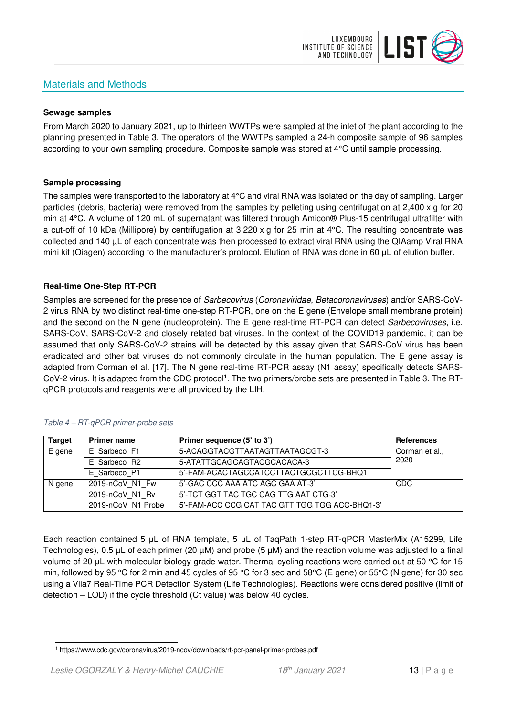# Materials and Methods



#### **Sewage samples**

From March 2020 to January 2021, up to thirteen WWTPs were sampled at the inlet of the plant according to the planning presented in Table 3. The operators of the WWTPs sampled a 24-h composite sample of 96 samples according to your own sampling procedure. Composite sample was stored at 4°C until sample processing.

## **Sample processing**

The samples were transported to the laboratory at 4°C and viral RNA was isolated on the day of sampling. Larger particles (debris, bacteria) were removed from the samples by pelleting using centrifugation at 2,400 x g for 20 min at 4°C. A volume of 120 mL of supernatant was filtered through Amicon® Plus-15 centrifugal ultrafilter with a cut-off of 10 kDa (Millipore) by centrifugation at 3,220 x g for 25 min at 4°C. The resulting concentrate was collected and 140 µL of each concentrate was then processed to extract viral RNA using the QIAamp Viral RNA mini kit (Qiagen) according to the manufacturer's protocol. Elution of RNA was done in 60 μL of elution buffer.

## **Real-time One-Step RT-PCR**

Samples are screened for the presence of *Sarbecovirus (Coronaviridae, Betacoronaviruses*) and/or SARS-CoV-2 virus RNA by two distinct real-time one-step RT-PCR, one on the E gene (Envelope small membrane protein) and the second on the N gene (nucleoprotein). The E gene real-time RT-PCR can detect Sarbecoviruses, i.e. SARS-CoV, SARS-CoV-2 and closely related bat viruses. In the context of the COVID19 pandemic, it can be assumed that only SARS-CoV-2 strains will be detected by this assay given that SARS-CoV virus has been eradicated and other bat viruses do not commonly circulate in the human population. The E gene assay is adapted from Corman et al. [17]. The N gene real-time RT-PCR assay (N1 assay) specifically detects SARS-CoV-2 virus. It is adapted from the CDC protocol<sup>1</sup>. The two primers/probe sets are presented in Table 3. The RTqPCR protocols and reagents were all provided by the LIH.

| <b>Target</b> | <b>Primer name</b> | Primer sequence (5' to 3')                     | <b>References</b> |
|---------------|--------------------|------------------------------------------------|-------------------|
| E gene        | E Sarbeco F1       | 5-ACAGGTACGTTAATAGTTAATAGCGT-3                 | Corman et al.,    |
|               | E Sarbeco R2       | 5-ATATTGCAGCAGTACGCACACA-3                     | 2020              |
|               | E Sarbeco P1       | 5'-FAM-ACACTAGCCATCCTTACTGCGCTTCG-BHQ1         |                   |
| N gene        | 2019-nCoV N1 Fw    | 5'-GAC CCC AAA ATC AGC GAA AT-3'               | CDC               |
|               | 2019-nCoV N1 Rv    | 5'-TCT GGT TAC TGC CAG TTG AAT CTG-3'          |                   |
|               | 2019-nCoV N1 Probe | 5'-FAM-ACC CCG CAT TAC GTT TGG TGG ACC-BHQ1-3' |                   |

#### Table 4 – RT-qPCR primer-probe sets

Each reaction contained 5 μL of RNA template, 5 μL of TaqPath 1-step RT-qPCR MasterMix (A15299, Life Technologies), 0.5 µL of each primer (20 µM) and probe (5 µM) and the reaction volume was adjusted to a final volume of 20 μL with molecular biology grade water. Thermal cycling reactions were carried out at 50 °C for 15 min, followed by 95 °C for 2 min and 45 cycles of 95 °C for 3 sec and 58°C (E gene) or 55°C (N gene) for 30 sec using a Viia7 Real-Time PCR Detection System (Life Technologies). Reactions were considered positive (limit of detection – LOD) if the cycle threshold (Ct value) was below 40 cycles.

<sup>1</sup> https://www.cdc.gov/coronavirus/2019-ncov/downloads/rt-pcr-panel-primer-probes.pdf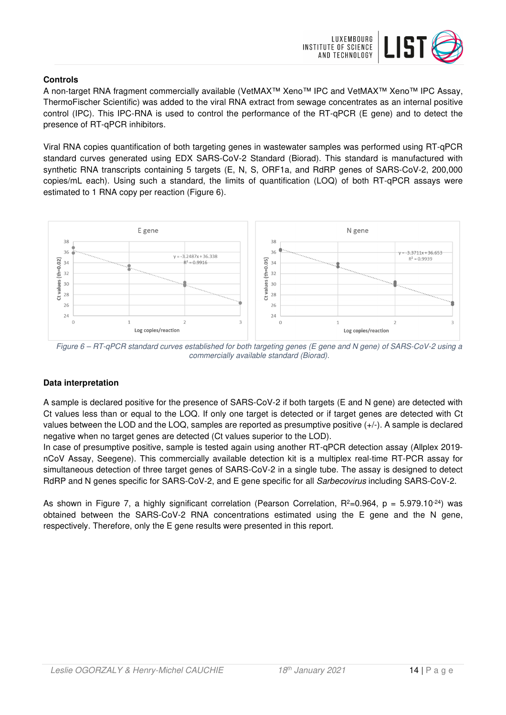

# **Controls**

A non-target RNA fragment commercially available (VetMAX™ Xeno™ IPC and VetMAX™ Xeno™ IPC Assay, ThermoFischer Scientific) was added to the viral RNA extract from sewage concentrates as an internal positive control (IPC). This IPC-RNA is used to control the performance of the RT-qPCR (E gene) and to detect the presence of RT-qPCR inhibitors.

Viral RNA copies quantification of both targeting genes in wastewater samples was performed using RT-qPCR standard curves generated using EDX SARS-CoV-2 Standard (Biorad). This standard is manufactured with synthetic RNA transcripts containing 5 targets (E, N, S, ORF1a, and RdRP genes of SARS-CoV-2, 200,000 copies/mL each). Using such a standard, the limits of quantification (LOQ) of both RT-qPCR assays were estimated to 1 RNA copy per reaction (Figure 6).



Figure 6 – RT-qPCR standard curves established for both targeting genes (E gene and N gene) of SARS-CoV-2 using a commercially available standard (Biorad).

# **Data interpretation**

A sample is declared positive for the presence of SARS-CoV-2 if both targets (E and N gene) are detected with Ct values less than or equal to the LOQ. If only one target is detected or if target genes are detected with Ct values between the LOD and the LOQ, samples are reported as presumptive positive (+/-). A sample is declared negative when no target genes are detected (Ct values superior to the LOD).

In case of presumptive positive, sample is tested again using another RT-qPCR detection assay (Allplex 2019 nCoV Assay, Seegene). This commercially available detection kit is a multiplex real-time RT-PCR assay for simultaneous detection of three target genes of SARS-CoV-2 in a single tube. The assay is designed to detect RdRP and N genes specific for SARS-CoV-2, and E gene specific for all Sarbecovirus including SARS-CoV-2.

As shown in Figure 7, a highly significant correlation (Pearson Correlation,  $R^2=0.964$ ,  $p = 5.979.10^{-24}$ ) was obtained between the SARS-CoV-2 RNA concentrations estimated using the E gene and the N gene, respectively. Therefore, only the E gene results were presented in this report.